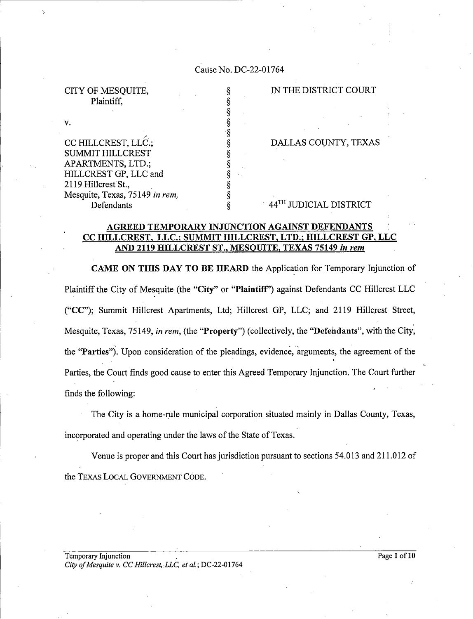### Cause No. DC-22-01764

Plaintiff,

V.

CITY OF MESQUITE,<br>
Plaintiff,<br>
Plaintiff,<br>
S<br>
S<br>
CC HILLCREST, LLC.,<br>
S<br>
S<br>
S<br>
S<br>
S<br>
S<br>
DALLAS COUNTY, TEXAS<br>
S<br>
S<br>
APARTMENTS, LTD.;<br>
S<br>
HILLCREST GP, LLC and<br>
2119 Hillcrest St.,<br>
Mesquite, Texas, 75149 *in rem,*<br>
S CC HILLCREST, LLC.;<br>SUMMIT HILLCREST APARTMENTS, LTD.;<br>HILLCREST GP, LLC and 2119 Hillcrest St., Mesquite, Texas, 75149 in rem, Defendants

DALLAS COUNTY, TEXAS

44TH JUDICIAL DISTRICT

# AGREED TEMPORARY INJUNCTION AGAINST DEFENDANTS<br>CC HILLCREST, LLC.; SUMMIT HILLCREST, LTD.; HILLCREST GP, LLC AND 2119 HILLCREST ST., MESQUITE, TEXAS 75149 in rem

 $\hat{\S}$ 

CAME ON THIS DAY T0 BE HEARD the Application for Temporary Injunction of Plaintiff the City of Mesquite (the "City" or "Plaintiff") against Defendants CC Hillcrest LLC ("CC"); summit Hillcrest Apartments, Ltd; Hillcrest GP, LLC; and 2119 Hillcrest Street, Mesquite, Texas, 75149, *in rem*, (the "**Property**") (collectively, the "**Defendants**", with the City, the "Parties"). Upon consideration of the pleadings, evidence, arguments, the agreement of the Parties, the Court finds good cause to enter this Agreed Temporary Injunction. The Court further finds the following:

The City is a home-rule municipal corporation situated mainly in Dallas County, Texas, incorporated and operating under the laws of the State of Texas.

Venue is proper and this Court has jurisdiction pursuant to sections 54.013 and 211.012 of the TEXAS LOCAL GOVERNMENT CODE.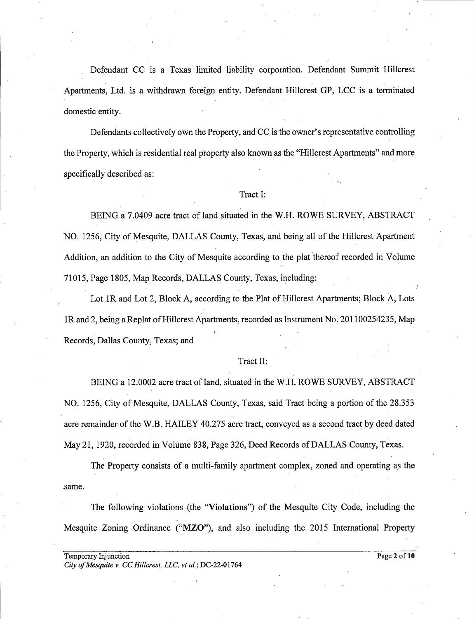Defendant CC is a Texas limited liability corporation. Defendant Summit Hillcrest Apartments, Ltd. is a withdrawn foreign entity. Defendant Hillcrest GP, LCC is a terminated domestic entity.

Defendants collectively own the Property, and CC is the owner's representative controlling the Property, which is residential real property also. known as the "Hillcrest Apartments" and more specifically described as:

#### Tract I:

BEING a 7.0409 acre tract of land situated in the W.H. ROWE SURVEY, ABSTRACT NO. 1256, City Of Mesquite, DALLAS County, Texas, and being all of the Hillcrest Apartment Addition, an addition to the City of Mesquite according to the plat thereof recorded in Volume 71015, Page 1805, Map Records, DALLAS County, Texas, including:

Lot 1R and Lot 2, Block A, according to the Plat of Hillcrest Apartments; Block A, Lots 1R and 2, being a Replat of Hillcrest Apartments, recorded as Instrument No. 201100254235, Map Records, Dallas County, Texas; and

#### Tract II:

BEING a 12.0002 acre tract of land, situated in the W.H. ROWE SURVEY, ABSTRACT NO. 1256, City of Mesquite, DALLAS County, Texas, said Tract being a portion of the 28.353 acre remainder of the W.B. HAILEY 40.275 acre tract, conveyed as second tract by deed dated May 21, 1920, recorded in Volume 838, Page 326, Deed Records of DALLAS County, Texas.

The Property consists of a multi-family apartment complex, zoned and operating as the same.

The following violations (the "Violations") of the Mesquite City Code, including the Mesquite Zoning Ordinance ("MZO"), and also including the 2015 International Property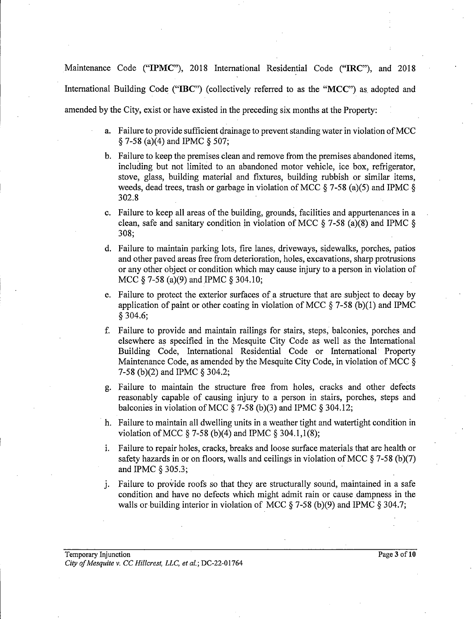Maintenance Code ("IPMC"), 2018 International Residential Code ("IRC"), and 2018 International Building Code ("IBC") (collectively referred to as the "MCC") as adopted and amended by the City, exist or have existed in the preceding six months at the Property:

- a. Failure to provide sufficient drainage to prevent standing water in violation ofMCC  $\S$  7-58 (a)(4) and IPMC  $\S$  507;
- Failure to keep the premises clean and remove from the premises abandoned items, including but not limited to an abandoned motor vehicle, ice box, refrigerator, stove, glass, building material and fixtures, building rubbish or similar items, weeds, dead trees, trash or garbage in violation of MCC  $\S$  7-58 (a)(5) and IPMC  $\S$ 302.8
- Failure to keep all areas of the building, grounds, facilities and appurtenances in clean, safe and sanitary condition in violation of MCC  $\S$  7-58 (a)(8) and IPMC  $\S$ 308;
- Failure to maintain parking lots, fire lanes, driveways, sidewalks, porches, patios and other paved areas free from deterioration, holes, excavations, sharp protrusions<br>or any other object or condition which may cause injury to a person in violation of or any other object or condition which may cause injury to a person in violation of<br>MCC § 7-58 (a)(9) and IPMC § 304.10; MCC  $\S$  7-58 (a)(9) and IPMC  $\S$  304.10;
- Failure to protect the exterior surfaces of a structure that are subject to decay by application of paint or other coating in violation of MCC  $\S$  7-58 (b)(1) and IPMC 304.6;
- f. Failure to provide and maintain railings for stairs, steps, balconies, porches and elsewhere as specified in the Mesquite City Code as well as the International Building Code, International Residential Code or International Property Maintenance Code, as amended by the Mesquite City Code, in violation ofMCC 7-58 (b)(2) and IPMC  $\S 304.2$ ;
- Failure to maintain the structure free from holes, cracks and other defects reasonably capable of causing injury to a person in stairs, porches, steps and balconies in violation of MCC  $\S$  7-58 (b)(3) and IPMC  $\S$  304.12;
- h. Failure to maintain all dwelling units in a weather tight and watertight condition in violation of MCC  $\S 7-58$  (b)(4) and IPMC  $\S 304.1,1(8)$ ;
- Failure to repair holes, cracks, breaks and loose surface materials that are health or safety hazards in or on floors, walls and ceilings in violation of MCC § 7-58 (b)(7) and IPMC § 305.3;
- j. Failure to provide roofs so that they are structurally sound, maintained in a safe condition and have no defects which might admit rain or cause dampness in the walls or building interior in violation of MCC  $\S$  7-58 (b)(9) and IPMC  $\S$  304.7;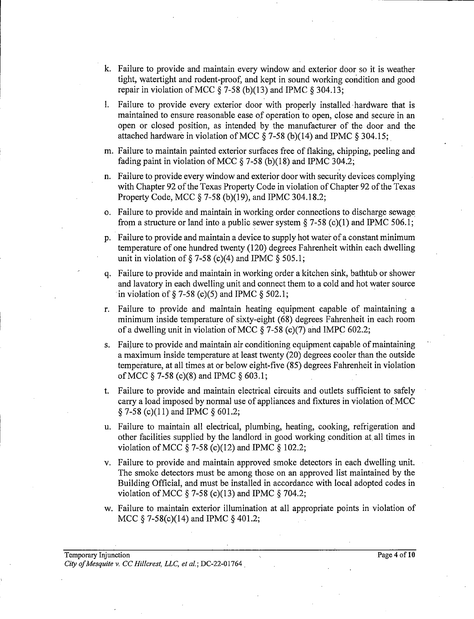- k. Failure to provide and maintain every window and exterior door so it is weather tight, watertight and rodent-proof, and kept in sound working condition and good repair in violation of MCC  $\S$  7-58 (b)(13) and IPMC  $\S$  304.13;
- l. Failure to provide every exterior door with properly installed-hardware that is maintained to ensure reasonable ease of operation to open, close and secure in an open or closed position, as intended, by the manufacturer of the door and the attached hardware in violation of MCC  $\S$  7-58 (b)(14) and IPMC  $\S$  304.15;
- m. Failure to maintain painted exterior surfaces free of flaking, chipping, peeling and fading paint in violation of MCC  $\S$  7-58 (b)(18) and IPMC 304.2;
- n. Failure to provide every window and exterior door with security devices complying with Chapter 92 of the Texas Property Code in violation of Chapter 92 of the Texas Property Code, MCC  $\S$  7-58 (b)(19), and IPMC 304.18.2;
- o. Failure to provide and maintain in working order connections to discharge sewage from a structure or land into a public sewer system  $\S$  7-58 (c)(1) and IPMC 506.1;
- p. Failure to provide and maintain a device to supply hot water of a constant minimum temperature of one hundred twenty (120) degrees Fahrenheit within each dwelling unit in violation of  $\S$  7-58 (c)(4) and IPMC  $\S$  505.1;
- q. Failure to provide and maintain in working order kitchen sink, bathtub or shower and lavatory in each dwelling unit and connect them to a cold and hot water source in violation of  $\S$  7-58 (c)(5) and IPMC  $\S$  502.1;
- r. Failure to provide and maintain heating equipment capable of maintaining minimum inside temperature of sixty-eight (68) degrees Fahrenheit in each room of a dwelling unit in violation of MCC  $\S$  7-58 (c)(7) and IMPC 602.2;
- s. Failure to provide and maintain air conditioning equipment capable of maintaining maximum inside temperature at least twenty (20) degrees cooler than the outside temperature, at all times at or below eight-five (85) degrees Fahrenheit 1n violation of MCC  $\S$  7-58 (c)(8) and IPMC  $\S$  603.1;
- t. Failure to provide and maintain electrical circuits and outlets sufficient to safely carry a load imposed by normal use of appliances and fixtures in violation of MCC  $\S$  7-58 (c)(11) and IPMC  $\S$  601.2;
- u. Failure to maintain all electrical, plumbing, heating, cooking, refrigeration and other facilities supplied by the landlord in good working condition at, all times in violation of MCC  $\S$  7-58 (c)(12) and IPMC  $\S$  102.2;
- v. Failure to provide and maintain approved smoke detectors in each dwelling unit. The smoke detectors must be among those on an approved list maintained by the Building Official, and must be installed in accordance with local adopted codes in violation of MCC  $\S$  7-58 (c)(13) and IPMC  $\S$  704.2;
- w. Failure to maintain exterior illumination at all appropriate points in violation of MCC  $\S$  7-58(c)(14) and IPMC  $\S$  401.2;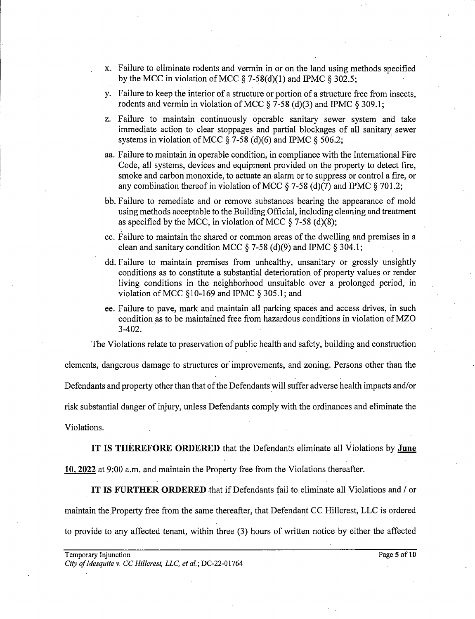- x. Failure to eliminate rodents and vermin in or on the land using methods specified by the MCC in violation of MCC  $\S$  7-58(d)(1) and IPMC  $\S$  302.5;
- y. Failure to keep the interior of structure or portion of structure free from insects, rodents and vermin in violation of MCC  $\S$  7-58 (d)(3) and IPMC  $\S$  309.1;
- z. Failure to maintain continuously operable sanitary sewer system and take immediate action to clear stoppages and partial blockages of all sanitary sewer systems in violation of MCC  $\S$  7-58 (d)(6) and IPMC  $\S$  506.2;
- aa. Failure to maintain in operable condition, in compliance with the International Fire Code, all systems, devices and equipment provided on the property to detect fire, smoke and carbon monoxide, to actuate an alarm or to suppress or control a fire, or any combination thereof in violation of MCC  $\S$  7-58 (d)(7) and IPMC  $\S$  701.2;
- bb. Failure to remediate and or remove substances bearing the appearance of mold using methods acceptable to the BuildingOfficial, including cleaning and treatment as specified by the MCC, in violation of MCC  $\S$  7-58 (d)(8);
- cc. Failure to maintain the shared or common areas of the dwelling and premises in a clean and sanitary condition MCC  $\S$  7-58 (d)(9) and IPMC  $\S$  304.1;
- dd. Failure to maintain premises from unhealthy, unsanitary or grossly unsightly conditions as to constitute a substantial deterioration of property values or render living conditions in the neighborhood unsuitable over a prolonged period, in violation of MCC  $$10-169$  and IPMC  $$305.1$ ; and
- ee. Failure to pave, mark and maintain all parking spaces and access drives, in such condition as to be maintained free from hazardous conditions in violation of MZO 3-402.

The Violations relate to preservation of public health and safety, building and construction

elements, dangerous damage to structures or' improvements, and zoning. Persons other than the Defendants and property other than that of the Defendants will suffer adverse health impacts and/or risk substantial danger of injury, unless Defendants comply with the ordinances and eliminate the Violations.

IT IS THEREFORE ORDERED that the Defendants eliminate all Violations by at 9:00 a.m. and maintain the Property free from the Violations thereafter.

IT IS FURTHER ORDERED that if Defendants fail to eliminate all Violations and / or maintain the Property free from the same thereafter, that Defendant CC Hillcrest, LLC is ordered to provide to any affected tenant, within three (3) hours of written notice by either the affected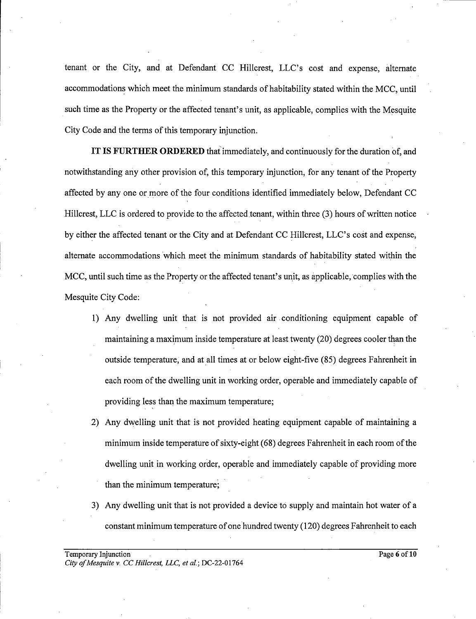tenant or the City, and at Defendant CC Hillcrest, LLC's cost and expense, alternate accommodations which meet the minimum standards of habitability stated within the MCC, until such time as the Property or the affected tenant's unit, as applicable, complies with the Mesquite City Code and the terms of this temporary injunction.

IT IS FURTHER ORDERED that immediately, and continuously for the duration of, and notwithstanding any other provision of, this temporary injunction, for any tenant of the Property affected by any one or more of the four conditions identified immediately below, Defendant CC Hillcrest, LLC is ordered to provide to the affected tenant, within three (3) hours of written notice by either the affected tenant or the City and at Defendant CC Hillcrest, LLC's cost and expense, alternate accommodations 'which meet the minimum standards of habitability stated within the MCC, until such time as the Property or the affected tenant's unit, as applicable, complies with the Mesquite City Code:

- 1) Any dwelling unit that is not provided air conditioning equipment capable of maintaining a maximum inside temperature at least twenty (20) degrees cooler than the outside temperature, and at all times at or below eight-five (85) degrees Fahrenheit in each room of the dwelling unit in working order, operable and immediately capable of providing less than the maximum temperature;
- 2) Any dwelling unit that is not provided heating equipment capable of maintaining minimum inside temperature of sixty-eight (68) degrees Fahrenheit in each room of the dwelling unit in working order, operable and immediately capable of providing more than the minimum temperature;
- 3) Any dwelling unit that is not provided a device to supply and maintain hot water of a constant minimum temperature of one'hundred twenty (120) degrees Fahrenheit to each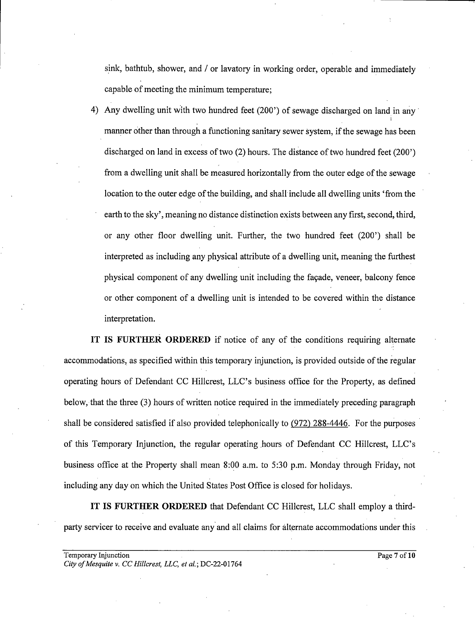sink, bathtub, shower, and / or lavatory in working order, operable and immediately capable of meeting the minimum temperature;

4) Any dwelling unit with two hundred feet (200') of sewage discharged on land in any manner other than through a functioning sanitary sewer system, if the sewage has been discharged on land in excess of two  $(2)$  hours. The distance of two hundred feet  $(200')$ from dwelling unit shall be measured horizontally from the outer edge of the sewage location to the outer edge of the building, and shall include all dwelling units 'from the earth to the sky', meaning no distance distinction exists between any first, second, third, or any other floor dwelling unit. Further, the two hundred feet (200') shall be interpreted as including any physical attribute of a dwelling unit, meaning the furthest physical component of any dwelling unit including the facade, veneer, balcony fence or other component of dwelling unit is intended to be covered within the distance interpretation.

IT IS FURTHER ORDERED if notice of any of the conditions requiring alternate accommodations, as specified within this temporary injunction, is provided outside of the regular operating hours of Defendant CC Hillcrest, LLC's business office for the Property, as defined below, that the three (3) hours of written notice required in the immediately preceding paragraph shall be considered satisfied if also provided telephonically to (972) 288-4446. For the purposes of this Temporary Injunction, the regular operating hours of Defendant CC Hillcrest, LLC's business office at the Property shall mean, 8:00 a.m. to 5:30 p.m. Monday through Friday, not including. any day on which the United States Post Office is closed for holidays.

IT IS FURTHER ORDERED that Defendant CC Hillcrest, LLC shall employ a thirdparty servicer to receive and evaluate any and all claims for alternate accommodations under this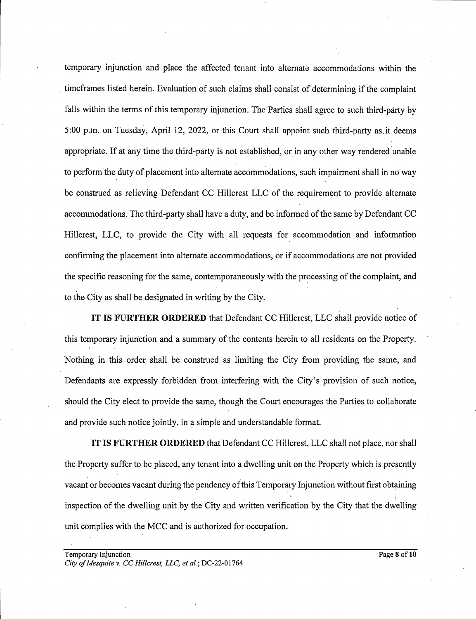temporary injunction and place the affected tenant into alternate accommodations within the timeframes listed herein. Evaluation of such claims shall consist of determining if the. complaint falls within the terms of this temporary injunction. The Parties shall agree to such third-party by 5:00 p.m. on Tuesday, April 12, 2022, or this Court shall appoint such third-party as it deems appropriate. If at any time the third-party is not established, or in any other way rendered unable to perform the duty of placement into alternate accommodations, such impairment shall in no way be construed as relieving Defendant CC Hillcrest LLC of the requirement to provide alternate accommodations. The third-party shall have duty, and be informed ofthe same by Defendant CC Hillcrest, LLC, to provide the City with all requests for} accommodation and information confirming the placement into alternate accommodations, or if accommodations are not provided the specific reasoning for the same, contemporaneously with the processing of the complaint, and to the City as shall be designated in writing by the City.

IT IS FURTHER ORDERED that Defendant CC Hillcrest, LLC shall provide notice of this temporary injunction and a summary of the contents herein to all residents on the Property. Nothing in this order shall be construed as limiting the City from providing the same, and Defendants are expressly forbidden from interfering with the City's provision of such notice, should the City elect to provide the same, though the Court encourages the Parties to collaborate and provide such notice jointly, in a simple and understandable format.

IT IS FURTHER ORDERED that Defendant CC Hillcrest, LLC shall not place, nor shall the Property suffer to be placed, any tenant into dwelling unit on the Property which is presently vacant or becomes vacant during the pendency ofthis Temporary Injunction without first obtaining inspection of the dwelling unit by the City and written verification by the City that the dwelling unit complies with the MCC and is authorized for occupation.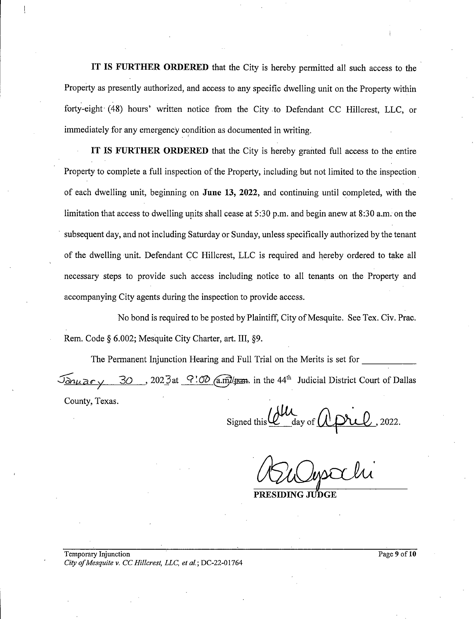IT IS FURTHER ORDERED that the City is hereby permitted all such access to the Property as preseritly authorized, and access to any specific dwelling unit on the Property within forty-eight (48) hours' written notice from the City .to Defendant CC Hillcrest, LLC, or immediately for any emergency condition as documented in writing.

IT IS FURTHER ORDERED that the City is hereby granted full access to the entire Property to complete a full inspection of the Property, including but not limited to the inspection of each dwelling unit, beginning on June 13, 2022, and continuing until completed, with the limitation that access to dwelling units shall cease at 5:30 p.m. and begin anew at 8:30 a.m. on the subsequent day, and not including Saturday or Sunday, unless specifically authorized by the tenant of the dwelling unit. Defendant CC Hillcrest, LLC isrequired and hereby ordered to take all necessary steps to provide such access including notice to all tenants on the Property and accompanying City agents during the inspection to provide access.

No bond is required to be posted by Plaintiff, City of Mesquite. See Tex. Civ. Prac. Rem. Code § 6.002; Mesquite City Charter, art. III, §9.

The Permanent Injunction Hearing and Full Trial on the Merits is set for \_\_\_\_\_\_\_\_  $\sqrt{\Delta n \mu a \cdot \mu}$  30, 2023 at  $\sqrt{?}$  (a.m)/ $\mu$ m. in the 44<sup>th</sup> Judicial District Court of Dallas County, Texas.

 $Signed this  $QU_{\text{day of}}$   $QpirL$ , 2022.  
\n*ANSU unsclli*$ 

PRESIDING JU'DGE

Temporary Injunction Page 9 of 10 City of Mesquite v. CC Hillcrest, LLC, et al.; DC-22-01764